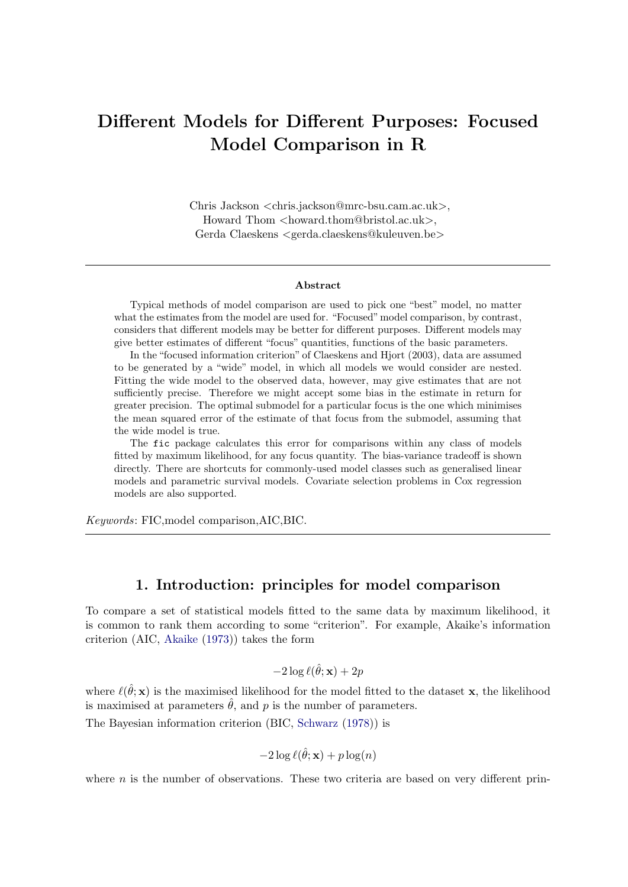# Different Models for Different Purposes: Focused Model Comparison in R

Chris Jackson <chris.jackson@mrc-bsu.cam.ac.uk>, Howard Thom  $\langle$ howard.thom@bristol.ac.uk $>$ , Gerda Claeskens <gerda.claeskens@kuleuven.be>

#### Abstract

Typical methods of model comparison are used to pick one "best" model, no matter what the estimates from the model are used for. "Focused"model comparison, by contrast, considers that different models may be better for different purposes. Different models may give better estimates of different "focus" quantities, functions of the basic parameters.

In the "focused information criterion" of Claeskens and Hjort (2003), data are assumed to be generated by a "wide" model, in which all models we would consider are nested. Fitting the wide model to the observed data, however, may give estimates that are not sufficiently precise. Therefore we might accept some bias in the estimate in return for greater precision. The optimal submodel for a particular focus is the one which minimises the mean squared error of the estimate of that focus from the submodel, assuming that the wide model is true.

The fic package calculates this error for comparisons within any class of models fitted by maximum likelihood, for any focus quantity. The bias-variance tradeoff is shown directly. There are shortcuts for commonly-used model classes such as generalised linear models and parametric survival models. Covariate selection problems in Cox regression models are also supported.

Keywords: FIC,model comparison,AIC,BIC.

## 1. Introduction: principles for model comparison

To compare a set of statistical models fitted to the same data by maximum likelihood, it is common to rank them according to some "criterion". For example, Akaike's information criterion (AIC, [Akaike](#page-17-0) [\(1973\)](#page-17-0)) takes the form

 $-2\log \ell(\hat{\theta}; \mathbf{x}) + 2p$ 

where  $\ell(\hat{\theta}; \mathbf{x})$  is the maximised likelihood for the model fitted to the dataset x, the likelihood is maximised at parameters  $\hat{\theta}$ , and p is the number of parameters.

The Bayesian information criterion (BIC, [Schwarz](#page-19-0) [\(1978\)](#page-19-0)) is

$$
-2\log \ell(\hat{\theta}; \mathbf{x}) + p\log(n)
$$

where  $n$  is the number of observations. These two criteria are based on very different prin-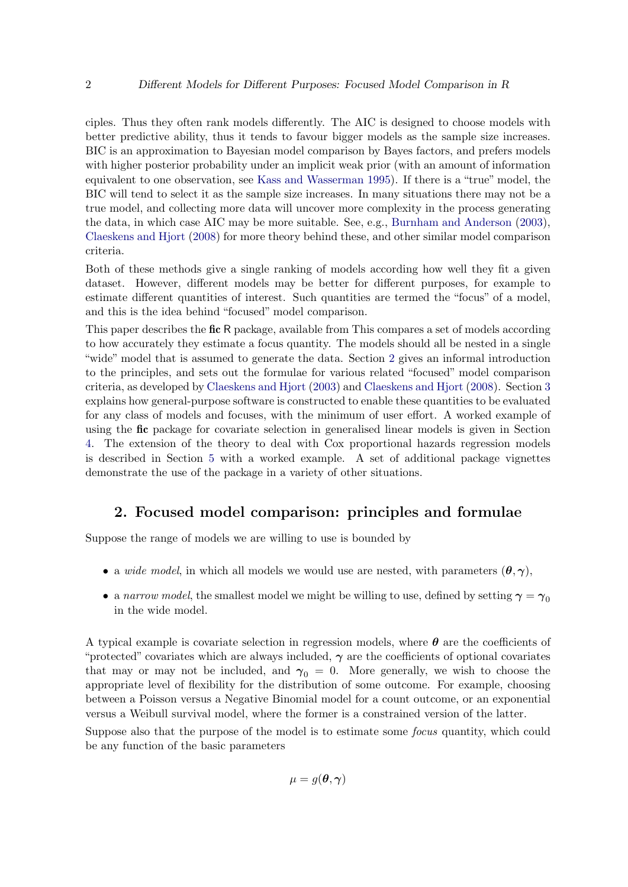ciples. Thus they often rank models differently. The AIC is designed to choose models with better predictive ability, thus it tends to favour bigger models as the sample size increases. BIC is an approximation to Bayesian model comparison by Bayes factors, and prefers models with higher posterior probability under an implicit weak prior (with an amount of information equivalent to one observation, see [Kass and Wasserman](#page-19-1) [1995\)](#page-19-1). If there is a "true" model, the BIC will tend to select it as the sample size increases. In many situations there may not be a true model, and collecting more data will uncover more complexity in the process generating the data, in which case AIC may be more suitable. See, e.g., [Burnham and Anderson](#page-18-0) [\(2003\)](#page-18-0), [Claeskens and Hjort](#page-18-1) [\(2008\)](#page-18-1) for more theory behind these, and other similar model comparison criteria.

Both of these methods give a single ranking of models according how well they fit a given dataset. However, different models may be better for different purposes, for example to estimate different quantities of interest. Such quantities are termed the "focus" of a model, and this is the idea behind "focused" model comparison.

This paper describes the **fic** R package, available from This compares a set of models according to how accurately they estimate a focus quantity. The models should all be nested in a single "wide" model that is assumed to generate the data. Section [2](#page-1-0) gives an informal introduction to the principles, and sets out the formulae for various related "focused" model comparison criteria, as developed by [Claeskens and Hjort](#page-18-2) [\(2003\)](#page-18-2) and [Claeskens and Hjort](#page-18-1) [\(2008\)](#page-18-1). Section [3](#page-4-0) explains how general-purpose software is constructed to enable these quantities to be evaluated for any class of models and focuses, with the minimum of user effort. A worked example of using the fic package for covariate selection in generalised linear models is given in Section [4.](#page-5-0) The extension of the theory to deal with Cox proportional hazards regression models is described in Section [5](#page-12-0) with a worked example. A set of additional package vignettes demonstrate the use of the package in a variety of other situations.

## 2. Focused model comparison: principles and formulae

<span id="page-1-0"></span>Suppose the range of models we are willing to use is bounded by

- a *wide model*, in which all models we would use are nested, with parameters  $(\theta, \gamma)$ ,
- a narrow model, the smallest model we might be willing to use, defined by setting  $\gamma = \gamma_0$ in the wide model.

A typical example is covariate selection in regression models, where  $\theta$  are the coefficients of "protected" covariates which are always included,  $\gamma$  are the coefficients of optional covariates that may or may not be included, and  $\gamma_0 = 0$ . More generally, we wish to choose the appropriate level of flexibility for the distribution of some outcome. For example, choosing between a Poisson versus a Negative Binomial model for a count outcome, or an exponential versus a Weibull survival model, where the former is a constrained version of the latter.

Suppose also that the purpose of the model is to estimate some focus quantity, which could be any function of the basic parameters

$$
\mu = g(\boldsymbol{\theta}, \boldsymbol{\gamma})
$$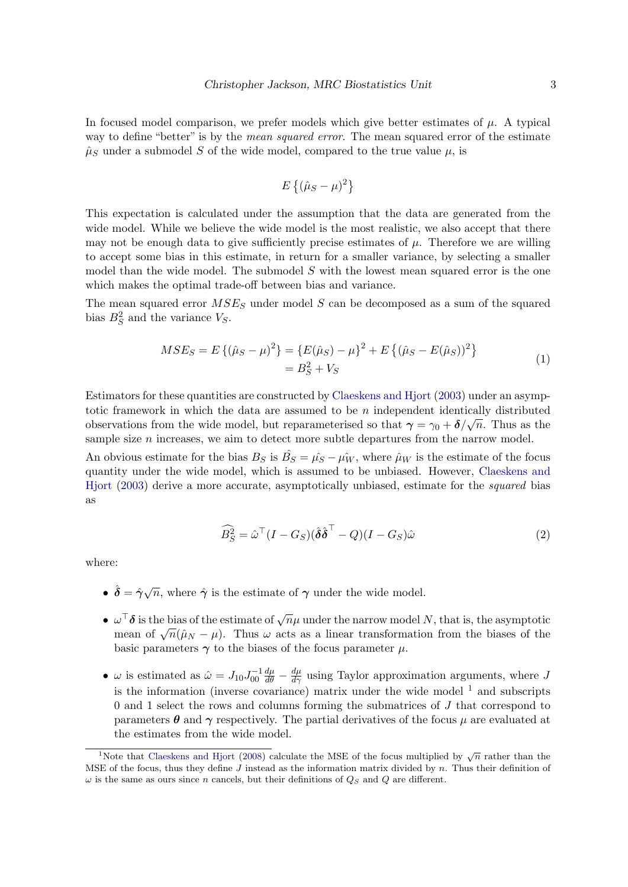In focused model comparison, we prefer models which give better estimates of  $\mu$ . A typical way to define "better" is by the *mean squared error*. The mean squared error of the estimate  $\hat{\mu}_S$  under a submodel S of the wide model, compared to the true value  $\mu$ , is

$$
E\left\{(\hat{\mu}_S - \mu)^2\right\}
$$

This expectation is calculated under the assumption that the data are generated from the wide model. While we believe the wide model is the most realistic, we also accept that there may not be enough data to give sufficiently precise estimates of  $\mu$ . Therefore we are willing to accept some bias in this estimate, in return for a smaller variance, by selecting a smaller model than the wide model. The submodel  $S$  with the lowest mean squared error is the one which makes the optimal trade-off between bias and variance.

<span id="page-2-2"></span>The mean squared error  $MSE_S$  under model S can be decomposed as a sum of the squared bias  $B_S^2$  and the variance  $V_S$ .

$$
MSE_S = E\{(\hat{\mu}_S - \mu)^2\} = \{E(\hat{\mu}_S) - \mu\}^2 + E\{(\hat{\mu}_S - E(\hat{\mu}_S))^2\}
$$
  
=  $B_S^2 + V_S$  (1)

Estimators for these quantities are constructed by [Claeskens and Hjort](#page-18-2) [\(2003\)](#page-18-2) under an asymptotic framework in which the data are assumed to be n independent identically distributed observations from the wide model, but reparameterised so that  $\gamma = \gamma_0 + \delta/\sqrt{n}$ . Thus as the sample size  $n$  increases, we aim to detect more subtle departures from the narrow model.

<span id="page-2-1"></span>An obvious estimate for the bias  $B_S$  is  $\hat{B_S} = \hat{\mu_S} - \hat{\mu_W}$ , where  $\hat{\mu}_W$  is the estimate of the focus quantity under the wide model, which is assumed to be unbiased. However, [Claeskens and](#page-18-2) [Hjort](#page-18-2) [\(2003\)](#page-18-2) derive a more accurate, asymptotically unbiased, estimate for the squared bias as

$$
\widehat{B}_S^2 = \widehat{\omega}^\top (I - G_S)(\widehat{\boldsymbol{\delta}} \widehat{\boldsymbol{\delta}}^\top - Q)(I - G_S)\widehat{\omega}
$$
\n(2)

where:

- $\hat{\delta} = \hat{\gamma}\sqrt{n}$ , where  $\hat{\gamma}$  is the estimate of  $\gamma$  under the wide model.
- $\omega^{\top} \delta$  is the bias of the estimate of  $\sqrt{n}\mu$  under the narrow model N, that is, the asymptotic  $\omega$  of is the bias of the estimate of  $\sqrt{n}\mu$  under the halfow model *N*, that is, the asymptotic mean of  $\sqrt{n}(\hat{\mu}_N - \mu)$ . Thus  $\omega$  acts as a linear transformation from the biases of the basic parameters  $\gamma$  to the biases of the focus parameter  $\mu$ .
- $\omega$  is estimated as  $\hat{\omega} = J_{10} J_{00}^{-1}$  $\frac{d\mu}{d\theta} - \frac{d\mu}{d\gamma}$  using Taylor approximation arguments, where J is the information (inverse covariance) matrix under the wide model  $<sup>1</sup>$  $<sup>1</sup>$  $<sup>1</sup>$  and subscripts</sup> 0 and 1 select the rows and columns forming the submatrices of J that correspond to parameters  $\theta$  and  $\gamma$  respectively. The partial derivatives of the focus  $\mu$  are evaluated at the estimates from the wide model.

<span id="page-2-0"></span><sup>&</sup>lt;sup>1</sup>Note that [Claeskens and Hjort](#page-18-1) [\(2008\)](#page-18-1) calculate the MSE of the focus multiplied by  $\sqrt{n}$  rather than the MSE of the focus, thus they define  $J$  instead as the information matrix divided by  $n$ . Thus their definition of  $\omega$  is the same as ours since n cancels, but their definitions of  $Q_S$  and Q are different.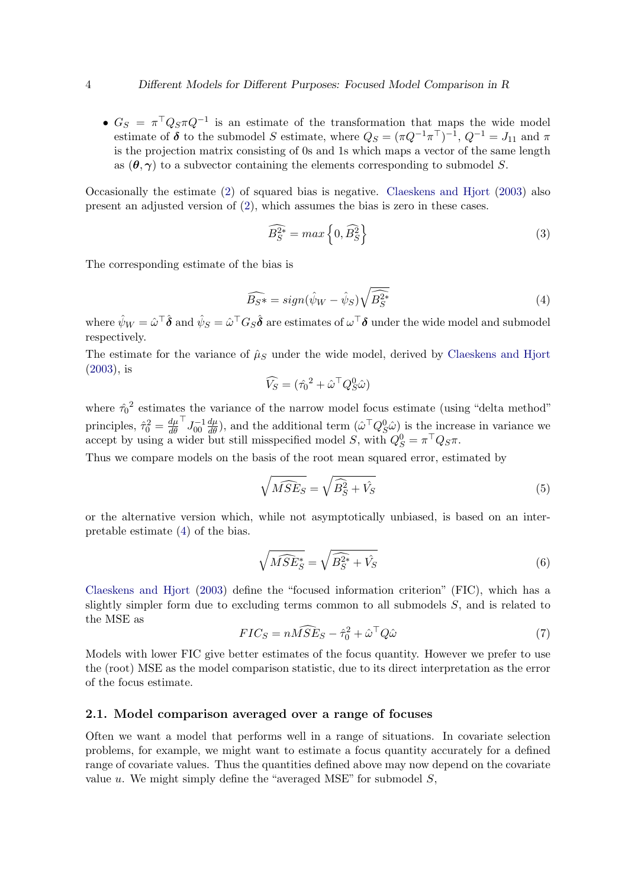•  $G_S = \pi^T Q_S \pi Q^{-1}$  is an estimate of the transformation that maps the wide model estimate of  $\delta$  to the submodel S estimate, where  $Q_S = (\pi Q^{-1} \pi^{\top})^{-1}$ ,  $Q^{-1} = J_{11}$  and  $\pi$ is the projection matrix consisting of 0s and 1s which maps a vector of the same length as  $(\theta, \gamma)$  to a subvector containing the elements corresponding to submodel S.

Occasionally the estimate  $(2)$  of squared bias is negative. [Claeskens and Hjort](#page-18-2)  $(2003)$  also present an adjusted version of [\(2\)](#page-2-1), which assumes the bias is zero in these cases.

<span id="page-3-1"></span>
$$
\widehat{B_S^{2*}} = \max\left\{0, \widehat{B_S^2}\right\} \tag{3}
$$

<span id="page-3-0"></span>The corresponding estimate of the bias is

$$
\widehat{B_S*} = sign(\hat{\psi}_W - \hat{\psi}_S) \sqrt{\widehat{B_S^{2*}}}\tag{4}
$$

where  $\hat\psi_W=\hat\omega^\top\bm{\hat\delta}$  and  $\hat\psi_S=\hat\omega^\top G_S\hat\bm{\delta}$  are estimates of  $\omega^\top\bm{\delta}$  under the wide model and submodel respectively.

The estimate for the variance of  $\hat{\mu}_S$  under the wide model, derived by [Claeskens and Hjort](#page-18-2) [\(2003\)](#page-18-2), is

$$
\widehat{V}_S = (\hat{\tau}_0^2 + \hat{\omega}^\top Q_S^0 \hat{\omega})
$$

where  $\hat{\tau}_0^2$  estimates the variance of the narrow model focus estimate (using "delta method" principles,  $\hat{\tau}_0^2 = \frac{d\mu}{d\theta}$  $d\theta$  $\mathsf{I}_{J_{00}^{-1}}^{-1}$  $\frac{d\mu}{d\theta}$ , and the additional term  $(\hat{\omega}^\top Q_S^0 \hat{\omega})$  is the increase in variance we accept by using a wider but still misspecified model S, with  $Q_S^0 = \pi^\top Q_S \pi$ .

Thus we compare models on the basis of the root mean squared error, estimated by

<span id="page-3-4"></span>
$$
\sqrt{\widehat{MSE}_S} = \sqrt{\widehat{B}_S^2 + \widehat{V}_S}
$$
\n(5)

or the alternative version which, while not asymptotically unbiased, is based on an interpretable estimate [\(4\)](#page-3-0) of the bias.

<span id="page-3-2"></span>
$$
\sqrt{\widehat{MSE}_S^*} = \sqrt{\widehat{B_S^{2*}} + \widehat{V}_S}
$$
\n(6)

<span id="page-3-3"></span>[Claeskens and Hjort](#page-18-2) [\(2003\)](#page-18-2) define the "focused information criterion" (FIC), which has a slightly simpler form due to excluding terms common to all submodels S, and is related to the MSE as

$$
FIC_S = n\widehat{MSE}_S - \widehat{\tau}_0^2 + \widehat{\omega}^\top Q \widehat{\omega}
$$
\n<sup>(7)</sup>

Models with lower FIC give better estimates of the focus quantity. However we prefer to use the (root) MSE as the model comparison statistic, due to its direct interpretation as the error of the focus estimate.

#### 2.1. Model comparison averaged over a range of focuses

Often we want a model that performs well in a range of situations. In covariate selection problems, for example, we might want to estimate a focus quantity accurately for a defined range of covariate values. Thus the quantities defined above may now depend on the covariate value  $u$ . We might simply define the "averaged MSE" for submodel  $S$ ,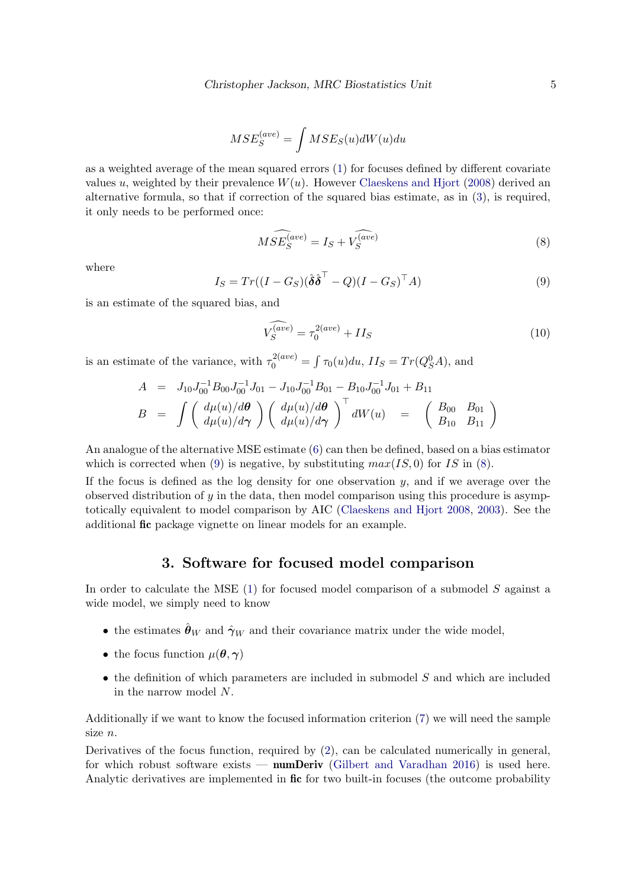$$
MSE_S^{(ave)} = \int MSE_S(u)dW(u)du
$$

as a weighted average of the mean squared errors [\(1\)](#page-2-2) for focuses defined by different covariate values u, weighted by their prevalence  $W(u)$ . However [Claeskens and Hjort](#page-18-1) [\(2008\)](#page-18-1) derived an alternative formula, so that if correction of the squared bias estimate, as in [\(3\)](#page-3-1), is required, it only needs to be performed once:

<span id="page-4-2"></span>
$$
\widehat{MSE_S^{(ave)}} = I_S + \widehat{V_S^{(ave)}}
$$
\n(8)

<span id="page-4-1"></span>where

$$
I_S = Tr((I - G_S)(\hat{\boldsymbol{\delta}}\hat{\boldsymbol{\delta}}^\top - Q)(I - G_S)^\top A)
$$
\n(9)

is an estimate of the squared bias, and

$$
\widehat{V_S^{(ave)}} = \tau_0^{2(ave)} + II_S \tag{10}
$$

is an estimate of the variance, with  $\tau_0^{2(ave)} = \int \tau_0(u) du$ ,  $II_S = Tr(Q_S^0 A)$ , and

$$
A = J_{10}J_{00}^{-1}B_{00}J_{00}^{-1}J_{01} - J_{10}J_{00}^{-1}B_{01} - B_{10}J_{00}^{-1}J_{01} + B_{11}
$$
  
\n
$$
B = \int \left(\frac{d\mu(u)/d\theta}{d\mu(u)/d\gamma}\right) \left(\frac{d\mu(u)/d\theta}{d\mu(u)/d\gamma}\right)^{\top} dW(u) = \left(\begin{array}{cc} B_{00} & B_{01} \\ B_{10} & B_{11} \end{array}\right)
$$

An analogue of the alternative MSE estimate [\(6\)](#page-3-2) can then be defined, based on a bias estimator which is corrected when [\(9\)](#page-4-1) is negative, by substituting  $max(IS, 0)$  for IS in [\(8\)](#page-4-2).

If the focus is defined as the log density for one observation  $y$ , and if we average over the observed distribution of  $y$  in the data, then model comparison using this procedure is asymptotically equivalent to model comparison by AIC [\(Claeskens and Hjort](#page-18-1) [2008,](#page-18-1) [2003\)](#page-18-2). See the additional fic package vignette on linear models for an example.

## 3. Software for focused model comparison

<span id="page-4-0"></span>In order to calculate the MSE [\(1\)](#page-2-2) for focused model comparison of a submodel S against a wide model, we simply need to know

- the estimates  $\hat{\theta}_W$  and  $\hat{\gamma}_W$  and their covariance matrix under the wide model,
- the focus function  $\mu(\boldsymbol{\theta}, \boldsymbol{\gamma})$
- $\bullet$  the definition of which parameters are included in submodel S and which are included in the narrow model N.

Additionally if we want to know the focused information criterion [\(7\)](#page-3-3) we will need the sample size n.

Derivatives of the focus function, required by [\(2\)](#page-2-1), can be calculated numerically in general, for which robust software exists — **numDeriv** [\(Gilbert and Varadhan](#page-18-3) [2016\)](#page-18-3) is used here. Analytic derivatives are implemented in fict for two built-in focuses (the outcome probability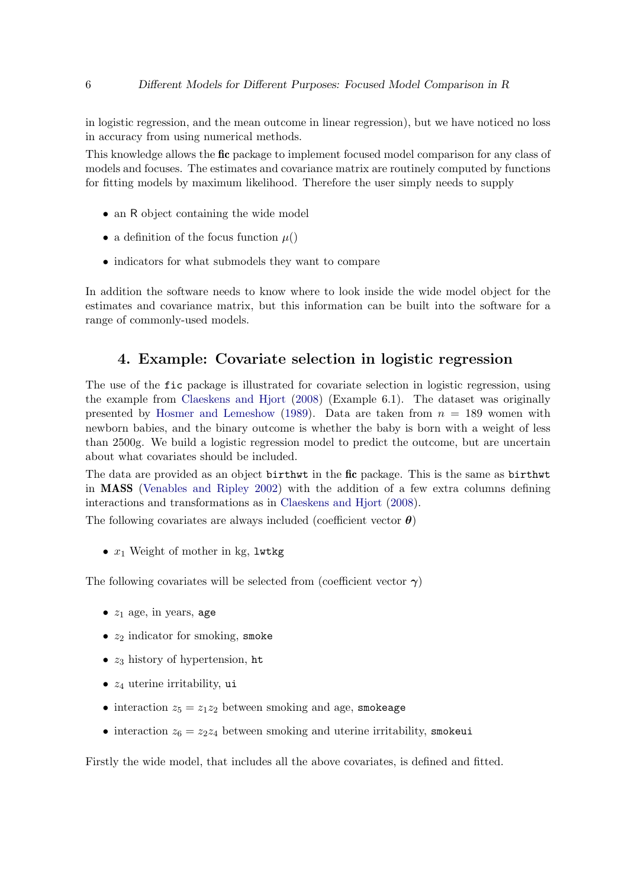in logistic regression, and the mean outcome in linear regression), but we have noticed no loss in accuracy from using numerical methods.

This knowledge allows the fic package to implement focused model comparison for any class of models and focuses. The estimates and covariance matrix are routinely computed by functions for fitting models by maximum likelihood. Therefore the user simply needs to supply

- an R object containing the wide model
- a definition of the focus function  $\mu$ ()
- indicators for what submodels they want to compare

In addition the software needs to know where to look inside the wide model object for the estimates and covariance matrix, but this information can be built into the software for a range of commonly-used models.

## 4. Example: Covariate selection in logistic regression

<span id="page-5-0"></span>The use of the fic package is illustrated for covariate selection in logistic regression, using the example from [Claeskens and Hjort](#page-18-1) [\(2008\)](#page-18-1) (Example 6.1). The dataset was originally presented by [Hosmer and Lemeshow](#page-18-4) [\(1989\)](#page-18-4). Data are taken from  $n = 189$  women with newborn babies, and the binary outcome is whether the baby is born with a weight of less than 2500g. We build a logistic regression model to predict the outcome, but are uncertain about what covariates should be included.

The data are provided as an object birthwt in the fic package. This is the same as birthwt in MASS [\(Venables and Ripley](#page-19-2) [2002\)](#page-19-2) with the addition of a few extra columns defining interactions and transformations as in [Claeskens and Hjort](#page-18-1) [\(2008\)](#page-18-1).

The following covariates are always included (coefficient vector  $\boldsymbol{\theta}$ )

•  $x_1$  Weight of mother in kg, lwtkg

The following covariates will be selected from (coefficient vector  $\gamma$ )

- $z_1$  age, in years, age
- $z_2$  indicator for smoking, smoke
- $z_3$  history of hypertension, ht
- $z_4$  uterine irritability, ui
- interaction  $z_5 = z_1 z_2$  between smoking and age, smokeage
- interaction  $z_6 = z_2 z_4$  between smoking and uterine irritability, smokeui

Firstly the wide model, that includes all the above covariates, is defined and fitted.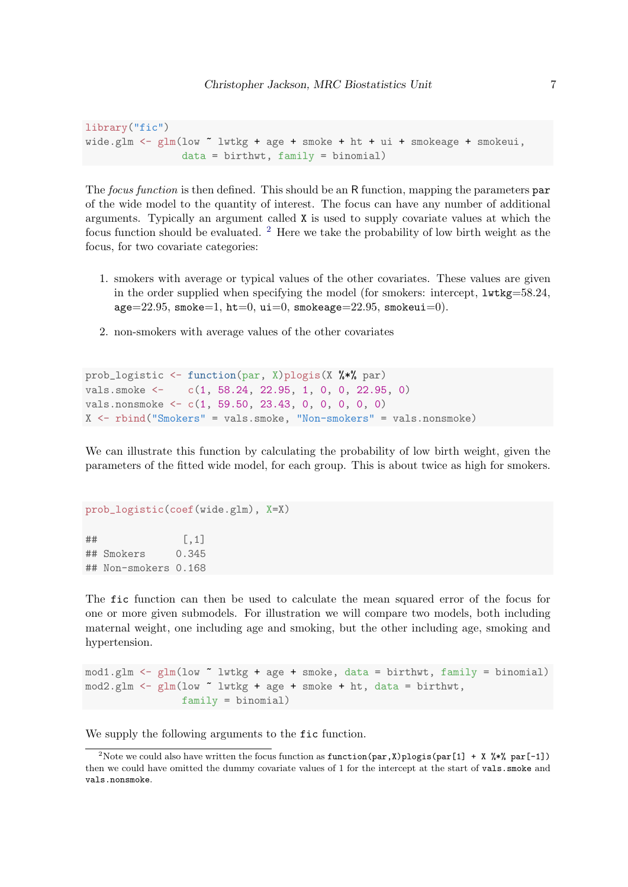library("fic") wide.glm <- glm(low ~ lwtkg + age + smoke + ht + ui + smokeage + smokeui, data = birthwt, family = binomial)

The focus function is then defined. This should be an R function, mapping the parameters par of the wide model to the quantity of interest. The focus can have any number of additional arguments. Typically an argument called X is used to supply covariate values at which the focus function should be evaluated.  $2$  Here we take the probability of low birth weight as the focus, for two covariate categories:

- 1. smokers with average or typical values of the other covariates. These values are given in the order supplied when specifying the model (for smokers: intercept,  $lwtkg=58.24$ ,  $age=22.95$ , smoke=1, ht=0, ui=0, smokeage=22.95, smokeui=0).
- 2. non-smokers with average values of the other covariates

```
prob_logistic <- function(par, X)plogis(X %*% par)
vals.smoke <- c(1, 58.24, 22.95, 1, 0, 0, 22.95, 0)
vals.nonsmoke <- c(1, 59.50, 23.43, 0, 0, 0, 0, 0)
X <- rbind("Smokers" = vals.smoke, "Non-smokers" = vals.nonsmoke)
```
We can illustrate this function by calculating the probability of low birth weight, given the parameters of the fitted wide model, for each group. This is about twice as high for smokers.

```
prob_logistic(coef(wide.glm), X=X)
\sharp # \qquad \qquad \left[ ,1\right]## Smokers 0.345
## Non-smokers 0.168
```
The fic function can then be used to calculate the mean squared error of the focus for one or more given submodels. For illustration we will compare two models, both including maternal weight, one including age and smoking, but the other including age, smoking and hypertension.

```
mod1.glm <- glm(low ~ lwtkg + age + smoke, data = birthwt, family = binomial)
mod2.glm <- glm(low ~ lwtkg + age + smoke + ht, data = birthwt,
                family = binomial)
```
We supply the following arguments to the fic function.

<span id="page-6-0"></span><sup>&</sup>lt;sup>2</sup>Note we could also have written the focus function as function(par, X)plogis(par[1] + X %\*% par[-1]) then we could have omitted the dummy covariate values of 1 for the intercept at the start of vals.smoke and vals.nonsmoke.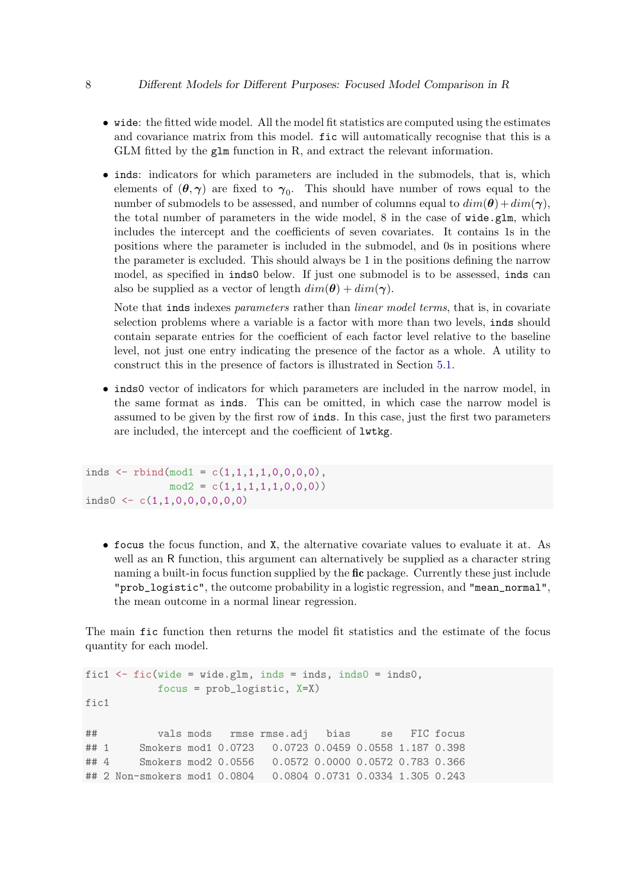- wide: the fitted wide model. All the model fit statistics are computed using the estimates and covariance matrix from this model. fic will automatically recognise that this is a GLM fitted by the glm function in R, and extract the relevant information.
- inds: indicators for which parameters are included in the submodels, that is, which elements of  $(\theta, \gamma)$  are fixed to  $\gamma_0$ . This should have number of rows equal to the number of submodels to be assessed, and number of columns equal to  $dim(\theta) + dim(\gamma)$ , the total number of parameters in the wide model, 8 in the case of wide.glm, which includes the intercept and the coefficients of seven covariates. It contains 1s in the positions where the parameter is included in the submodel, and 0s in positions where the parameter is excluded. This should always be 1 in the positions defining the narrow model, as specified in inds0 below. If just one submodel is to be assessed, inds can also be supplied as a vector of length  $dim(\theta) + dim(\gamma)$ .

Note that inds indexes parameters rather than *linear model terms*, that is, in covariate selection problems where a variable is a factor with more than two levels, inds should contain separate entries for the coefficient of each factor level relative to the baseline level, not just one entry indicating the presence of the factor as a whole. A utility to construct this in the presence of factors is illustrated in Section [5.1.](#page-13-0)

• inds0 vector of indicators for which parameters are included in the narrow model, in the same format as inds. This can be omitted, in which case the narrow model is assumed to be given by the first row of inds. In this case, just the first two parameters are included, the intercept and the coefficient of lwtkg.

```
inds \le rbind(mod1 = c(1,1,1,1,0,0,0,0),
              mod2 = c(1,1,1,1,1,0,0,0))inds0 <- c(1,1,0,0,0,0,0,0)
```
• focus the focus function, and X, the alternative covariate values to evaluate it at. As well as an R function, this argument can alternatively be supplied as a character string naming a built-in focus function supplied by the **fic** package. Currently these just include "prob\_logistic", the outcome probability in a logistic regression, and "mean\_normal", the mean outcome in a normal linear regression.

The main fic function then returns the model fit statistics and the estimate of the focus quantity for each model.

```
fic1 \le fic(wide = wide.glm, inds = inds, inds0 = inds0,
          focus = prob_logistic, X=X)
fic1
## vals mods rmse rmse.adj bias se FIC focus
## 1 Smokers mod1 0.0723 0.0723 0.0459 0.0558 1.187 0.398
## 4 Smokers mod2 0.0556 0.0572 0.0000 0.0572 0.783 0.366
## 2 Non-smokers mod1 0.0804 0.0804 0.0731 0.0334 1.305 0.243
```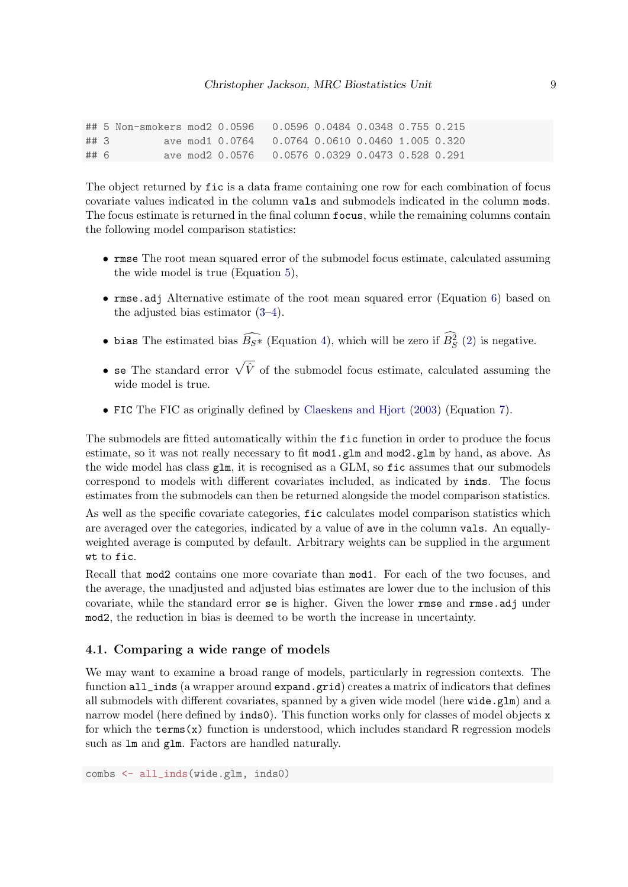## 5 Non-smokers mod2 0.0596 0.0596 0.0484 0.0348 0.755 0.215 ## 3 ave mod1 0.0764 0.0764 0.0610 0.0460 1.005 0.320 ## 6 ave mod2 0.0576 0.0576 0.0329 0.0473 0.528 0.291

The object returned by fic is a data frame containing one row for each combination of focus covariate values indicated in the column vals and submodels indicated in the column mods. The focus estimate is returned in the final column focus, while the remaining columns contain the following model comparison statistics:

- rmse The root mean squared error of the submodel focus estimate, calculated assuming the wide model is true (Equation [5\)](#page-3-4),
- rmse.adj Alternative estimate of the root mean squared error (Equation [6\)](#page-3-2) based on the adjusted bias estimator [\(3–](#page-3-1)[4\)](#page-3-0).
- bias The estimated bias  $\widehat{B_{S^*}}$  (Equation [4\)](#page-3-0), which will be zero if  $B_S^2$  [\(2\)](#page-2-1) is negative.
- se The standard error  $\sqrt{\hat{V}}$  of the submodel focus estimate, calculated assuming the wide model is true.
- FIC The FIC as originally defined by [Claeskens and Hjort](#page-18-2) [\(2003\)](#page-18-2) (Equation [7\)](#page-3-3).

The submodels are fitted automatically within the fic function in order to produce the focus estimate, so it was not really necessary to fit mod1.glm and mod2.glm by hand, as above. As the wide model has class glm, it is recognised as a GLM, so fic assumes that our submodels correspond to models with different covariates included, as indicated by inds. The focus estimates from the submodels can then be returned alongside the model comparison statistics.

As well as the specific covariate categories, fic calculates model comparison statistics which are averaged over the categories, indicated by a value of ave in the column vals. An equallyweighted average is computed by default. Arbitrary weights can be supplied in the argument wt to fic.

Recall that mod2 contains one more covariate than mod1. For each of the two focuses, and the average, the unadjusted and adjusted bias estimates are lower due to the inclusion of this covariate, while the standard error se is higher. Given the lower rmse and rmse.adj under mod2, the reduction in bias is deemed to be worth the increase in uncertainty.

#### 4.1. Comparing a wide range of models

We may want to examine a broad range of models, particularly in regression contexts. The function all\_inds (a wrapper around expand.grid) creates a matrix of indicators that defines all submodels with different covariates, spanned by a given wide model (here  $\texttt{wide}$ ,  $\texttt{glm}$ ) and a narrow model (here defined by inds0). This function works only for classes of model objects x for which the terms(x) function is understood, which includes standard R regression models such as lm and glm. Factors are handled naturally.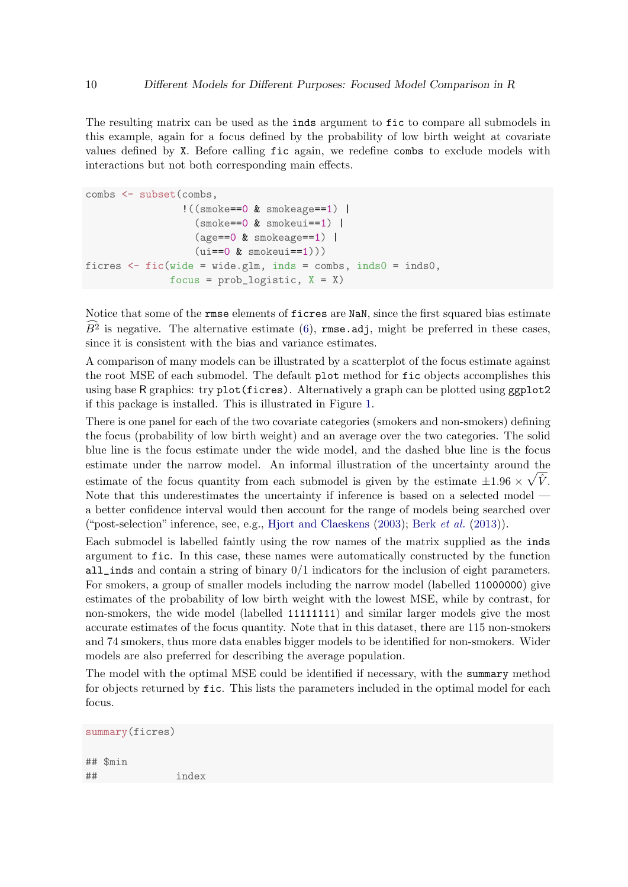The resulting matrix can be used as the inds argument to fic to compare all submodels in this example, again for a focus defined by the probability of low birth weight at covariate values defined by X. Before calling fic again, we redefine combs to exclude models with interactions but not both corresponding main effects.

```
combs <- subset(combs,
                 !((smoke==0 & smokeage==1) |
                   (smoke==0 & smokeui==1) |
                   (\text{age}==0 \& \text{smokeage}==1)(iii==0 & smokeu = -1))ficres \le fic(wide = wide.glm, inds = combs, inds0 = inds0,
               focus = prob\_logistic, X = X)
```
Notice that some of the rmse elements of ficres are NaN, since the first squared bias estimate  $B^2$  is negative. The alternative estimate [\(6\)](#page-3-2), rmse.adj, might be preferred in these cases, since it is consistent with the bias and variance estimates.

A comparison of many models can be illustrated by a scatterplot of the focus estimate against the root MSE of each submodel. The default plot method for fic objects accomplishes this using base R graphics: try plot(ficres). Alternatively a graph can be plotted using ggplot2 if this package is installed. This is illustrated in Figure [1.](#page-10-0)

There is one panel for each of the two covariate categories (smokers and non-smokers) defining the focus (probability of low birth weight) and an average over the two categories. The solid blue line is the focus estimate under the wide model, and the dashed blue line is the focus estimate under the narrow model. An informal illustration of the uncertainty around the estimate of the focus quantity from each submodel is given by the estimate  $\pm 1.96 \times \sqrt{\hat{V}}$ . Note that this underestimates the uncertainty if inference is based on a selected model a better confidence interval would then account for the range of models being searched over ("post-selection" inference, see, e.g., [Hjort and Claeskens](#page-18-5) [\(2003\)](#page-18-5); Berk [et al.](#page-18-6) [\(2013\)](#page-18-6)).

Each submodel is labelled faintly using the row names of the matrix supplied as the inds argument to fic. In this case, these names were automatically constructed by the function all\_inds and contain a string of binary 0/1 indicators for the inclusion of eight parameters. For smokers, a group of smaller models including the narrow model (labelled 11000000) give estimates of the probability of low birth weight with the lowest MSE, while by contrast, for non-smokers, the wide model (labelled 11111111) and similar larger models give the most accurate estimates of the focus quantity. Note that in this dataset, there are 115 non-smokers and 74 smokers, thus more data enables bigger models to be identified for non-smokers. Wider models are also preferred for describing the average population.

The model with the optimal MSE could be identified if necessary, with the summary method for objects returned by fic. This lists the parameters included in the optimal model for each focus.

```
summary(ficres)
## $min
## index
```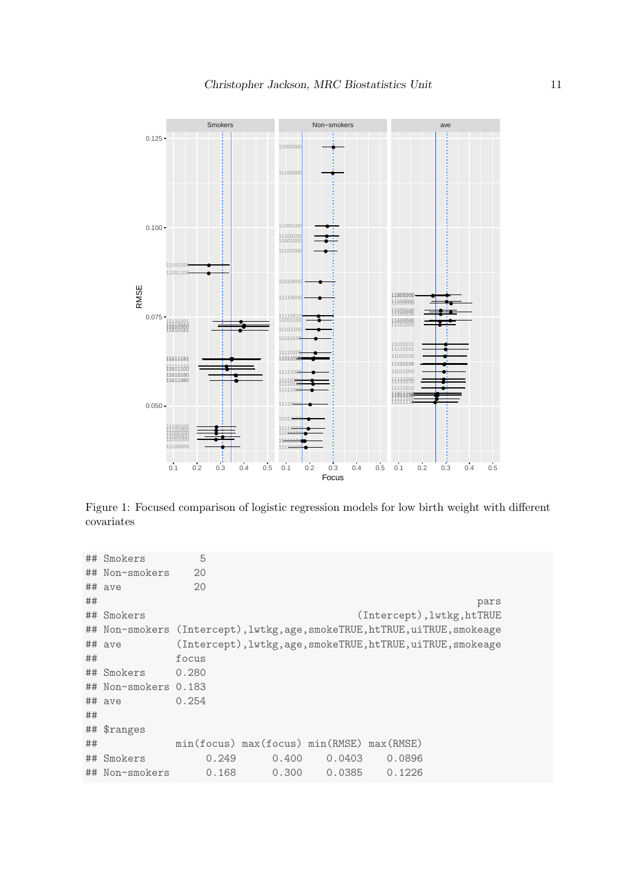

<span id="page-10-0"></span>Figure 1: Focused comparison of logistic regression models for low birth weight with different covariates

|    | ## Smokers           | 5     |                                           |        |        |                                                                             |  |
|----|----------------------|-------|-------------------------------------------|--------|--------|-----------------------------------------------------------------------------|--|
|    | ## Non-smokers       | 20    |                                           |        |        |                                                                             |  |
|    | ## ave               | 20    |                                           |        |        |                                                                             |  |
| ## |                      |       |                                           |        |        | pars                                                                        |  |
|    | ## Smokers           |       |                                           |        |        | (Intercept), lwtkg, htTRUE                                                  |  |
|    |                      |       |                                           |        |        | ## Non-smokers (Intercept), lwtkg, age, smokeTRUE, htTRUE, uiTRUE, smokeage |  |
|    | ## ave               |       |                                           |        |        | (Intercept), lwtkg, age, smokeTRUE, htTRUE, uiTRUE, smokeage                |  |
| ## |                      | focus |                                           |        |        |                                                                             |  |
|    | ## Smokers           | 0.280 |                                           |        |        |                                                                             |  |
|    | ## Non-smokers 0.183 |       |                                           |        |        |                                                                             |  |
|    | ## ave               | 0.254 |                                           |        |        |                                                                             |  |
| ## |                      |       |                                           |        |        |                                                                             |  |
|    | ## \$ranges          |       |                                           |        |        |                                                                             |  |
| ## |                      |       | min(focus) max(focus) min(RMSE) max(RMSE) |        |        |                                                                             |  |
|    | ## Smokers           | 0.249 | 0.400                                     | 0.0403 | 0.0896 |                                                                             |  |
|    | ## Non-smokers       | 0.168 | 0.300                                     | 0.0385 | 0.1226 |                                                                             |  |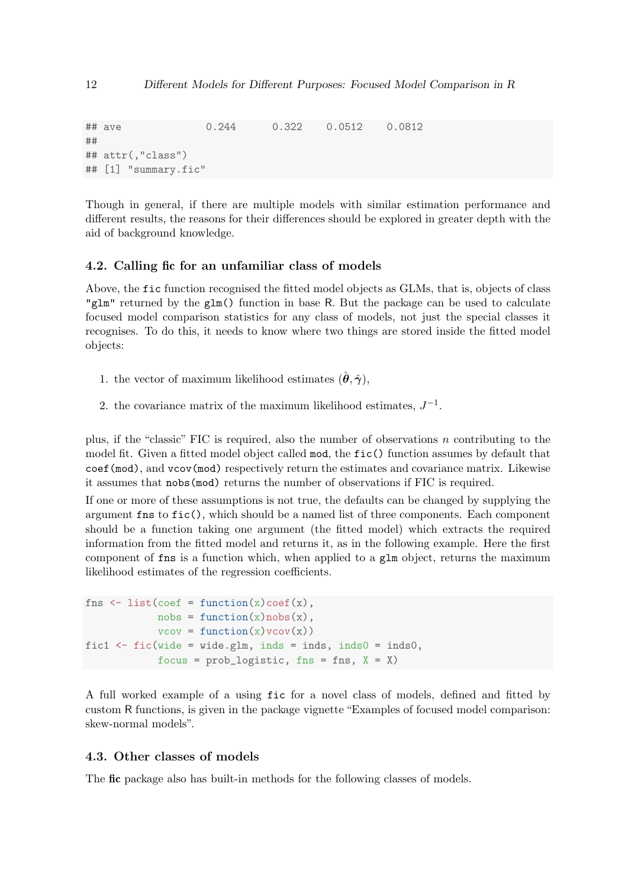```
## ave 0.244 0.322 0.0512 0.0812
##
## attr(,"class")
## [1] "summary.fic"
```
Though in general, if there are multiple models with similar estimation performance and different results, the reasons for their differences should be explored in greater depth with the aid of background knowledge.

#### 4.2. Calling fic for an unfamiliar class of models

Above, the fic function recognised the fitted model objects as GLMs, that is, objects of class "glm" returned by the glm() function in base R. But the package can be used to calculate focused model comparison statistics for any class of models, not just the special classes it recognises. To do this, it needs to know where two things are stored inside the fitted model objects:

- 1. the vector of maximum likelihood estimates  $(\hat{\theta}, \hat{\gamma})$ ,
- 2. the covariance matrix of the maximum likelihood estimates,  $J^{-1}$ .

plus, if the "classic" FIC is required, also the number of observations  $n$  contributing to the model fit. Given a fitted model object called mod, the fic() function assumes by default that coef(mod), and vcov(mod) respectively return the estimates and covariance matrix. Likewise it assumes that nobs(mod) returns the number of observations if FIC is required.

If one or more of these assumptions is not true, the defaults can be changed by supplying the argument fns to fic(), which should be a named list of three components. Each component should be a function taking one argument (the fitted model) which extracts the required information from the fitted model and returns it, as in the following example. Here the first component of fns is a function which, when applied to a glm object, returns the maximum likelihood estimates of the regression coefficients.

```
fns \leq list(coef = function(x)coef(x),
            nobs = function(x)nobs(x),
            vcov = function(x) vcov(x))fic1 \leftarrow fic(wide = wide.glm, inds = inds, inds0 = inds0,
            focus = prob\_logistic, fins = fins, X = X)
```
A full worked example of a using fic for a novel class of models, defined and fitted by custom R functions, is given in the package vignette "Examples of focused model comparison: skew-normal models".

## 4.3. Other classes of models

The fic package also has built-in methods for the following classes of models.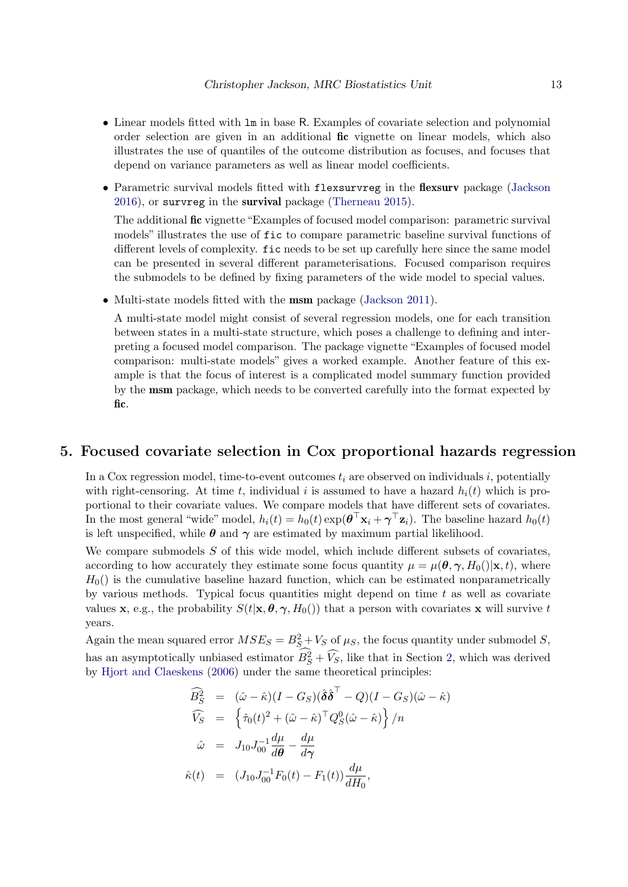- Linear models fitted with lm in base R. Examples of covariate selection and polynomial order selection are given in an additional fic vignette on linear models, which also illustrates the use of quantiles of the outcome distribution as focuses, and focuses that depend on variance parameters as well as linear model coefficients.
- Parametric survival models fitted with flexsurvreg in the flexsurv package [\(Jackson](#page-18-7) [2016\)](#page-18-7), or survreg in the survival package [\(Therneau](#page-19-3) [2015\)](#page-19-3).

The additional fic vignette "Examples of focused model comparison: parametric survival models" illustrates the use of fic to compare parametric baseline survival functions of different levels of complexity. fic needs to be set up carefully here since the same model can be presented in several different parameterisations. Focused comparison requires the submodels to be defined by fixing parameters of the wide model to special values.

• Multi-state models fitted with the msm package [\(Jackson](#page-18-8) [2011\)](#page-18-8).

A multi-state model might consist of several regression models, one for each transition between states in a multi-state structure, which poses a challenge to defining and interpreting a focused model comparison. The package vignette "Examples of focused model comparison: multi-state models" gives a worked example. Another feature of this example is that the focus of interest is a complicated model summary function provided by the msm package, which needs to be converted carefully into the format expected by fic.

## <span id="page-12-0"></span>5. Focused covariate selection in Cox proportional hazards regression

In a Cox regression model, time-to-event outcomes  $t_i$  are observed on individuals i, potentially with right-censoring. At time t, individual i is assumed to have a hazard  $h_i(t)$  which is proportional to their covariate values. We compare models that have different sets of covariates. In the most general "wide" model,  $h_i(t) = h_0(t) \exp(\theta^\top \mathbf{x}_i + \boldsymbol{\gamma}^\top \mathbf{z}_i)$ . The baseline hazard  $h_0(t)$ is left unspecified, while  $\theta$  and  $\gamma$  are estimated by maximum partial likelihood.

We compare submodels  $S$  of this wide model, which include different subsets of covariates, according to how accurately they estimate some focus quantity  $\mu = \mu(\theta, \gamma, H_0(|\mathbf{x}, t), \mathbf{w})$ ,  $H_0$ () is the cumulative baseline hazard function, which can be estimated nonparametrically by various methods. Typical focus quantities might depend on time  $t$  as well as covariate values x, e.g., the probability  $S(t|\mathbf{x}, \theta, \gamma, H_0()$  that a person with covariates x will survive t years.

Again the mean squared error  $MSE_S = B_S^2 + V_S$  of  $\mu_S$ , the focus quantity under submodel S, has an asymptotically unbiased estimator  $B_S^2 + \widehat{V_S}$ , like that in Section [2,](#page-1-0) which was derived by [Hjort and Claeskens](#page-18-9) [\(2006\)](#page-18-9) under the same theoretical principles:

$$
\widehat{B}_{S}^{2} = (\hat{\omega} - \hat{\kappa})(I - G_{S})(\hat{\delta}\hat{\delta}^{\top} - Q)(I - G_{S})(\hat{\omega} - \hat{\kappa})
$$
\n
$$
\widehat{V}_{S} = \left\{\hat{\tau}_{0}(t)^{2} + (\hat{\omega} - \hat{\kappa})^{\top}Q_{S}^{0}(\hat{\omega} - \hat{\kappa})\right\}/n
$$
\n
$$
\hat{\omega} = J_{10}J_{00}^{-1}\frac{d\mu}{d\theta} - \frac{d\mu}{d\gamma}
$$
\n
$$
\hat{\kappa}(t) = (J_{10}J_{00}^{-1}F_{0}(t) - F_{1}(t))\frac{d\mu}{dH_{0}},
$$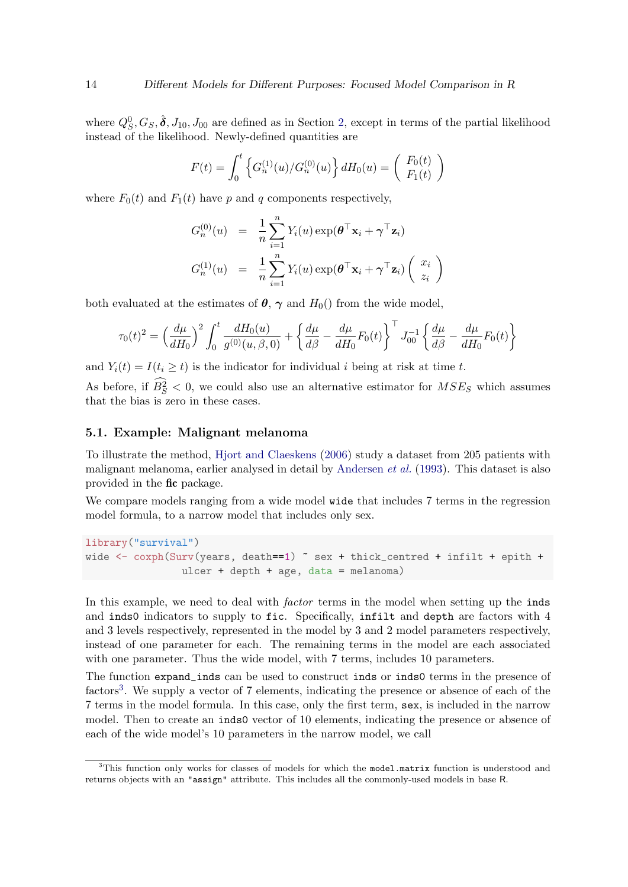where  $Q_S^0, G_S, \hat{\boldsymbol{\delta}}, J_{10}, J_{00}$  are defined as in Section [2,](#page-1-0) except in terms of the partial likelihood instead of the likelihood. Newly-defined quantities are

$$
F(t) = \int_0^t \left\{ G_n^{(1)}(u) / G_n^{(0)}(u) \right\} dH_0(u) = \begin{pmatrix} F_0(t) \\ F_1(t) \end{pmatrix}
$$

where  $F_0(t)$  and  $F_1(t)$  have p and q components respectively,

$$
G_n^{(0)}(u) = \frac{1}{n} \sum_{i=1}^n Y_i(u) \exp(\boldsymbol{\theta}^\top \mathbf{x}_i + \boldsymbol{\gamma}^\top \mathbf{z}_i)
$$
  

$$
G_n^{(1)}(u) = \frac{1}{n} \sum_{i=1}^n Y_i(u) \exp(\boldsymbol{\theta}^\top \mathbf{x}_i + \boldsymbol{\gamma}^\top \mathbf{z}_i) \begin{pmatrix} x_i \\ z_i \end{pmatrix}
$$

both evaluated at the estimates of  $\theta$ ,  $\gamma$  and  $H_0$ () from the wide model,

$$
\tau_0(t)^2 = \left(\frac{d\mu}{dH_0}\right)^2 \int_0^t \frac{dH_0(u)}{g^{(0)}(u,\beta,0)} + \left\{\frac{d\mu}{d\beta} - \frac{d\mu}{dH_0}F_0(t)\right\}^{\top} J_{00}^{-1} \left\{\frac{d\mu}{d\beta} - \frac{d\mu}{dH_0}F_0(t)\right\}
$$

and  $Y_i(t) = I(t_i \geq t)$  is the indicator for individual i being at risk at time t.

As before, if  $B_S^2 < 0$ , we could also use an alternative estimator for  $MSE_S$  which assumes that the bias is zero in these cases.

### <span id="page-13-0"></span>5.1. Example: Malignant melanoma

To illustrate the method, [Hjort and Claeskens](#page-18-9) [\(2006\)](#page-18-9) study a dataset from 205 patients with malignant melanoma, earlier analysed in detail by [Andersen](#page-17-1) et al. [\(1993\)](#page-17-1). This dataset is also provided in the fic package.

We compare models ranging from a wide model wide that includes 7 terms in the regression model formula, to a narrow model that includes only sex.

```
library("survival")
wide \leq coxph(Surv(years, death==1) \sim sex + thick_centred + infilt + epith +
                ulcer + depth + age, data = melanoma)
```
In this example, we need to deal with *factor* terms in the model when setting up the inds and inds0 indicators to supply to fic. Specifically, infilt and depth are factors with 4 and 3 levels respectively, represented in the model by 3 and 2 model parameters respectively, instead of one parameter for each. The remaining terms in the model are each associated with one parameter. Thus the wide model, with 7 terms, includes 10 parameters.

The function expand\_inds can be used to construct inds or inds0 terms in the presence of factors<sup>[3](#page-13-1)</sup>. We supply a vector of 7 elements, indicating the presence or absence of each of the 7 terms in the model formula. In this case, only the first term, sex, is included in the narrow model. Then to create an inds0 vector of 10 elements, indicating the presence or absence of each of the wide model's 10 parameters in the narrow model, we call

<span id="page-13-1"></span><sup>&</sup>lt;sup>3</sup>This function only works for classes of models for which the model.matrix function is understood and returns objects with an "assign" attribute. This includes all the commonly-used models in base R.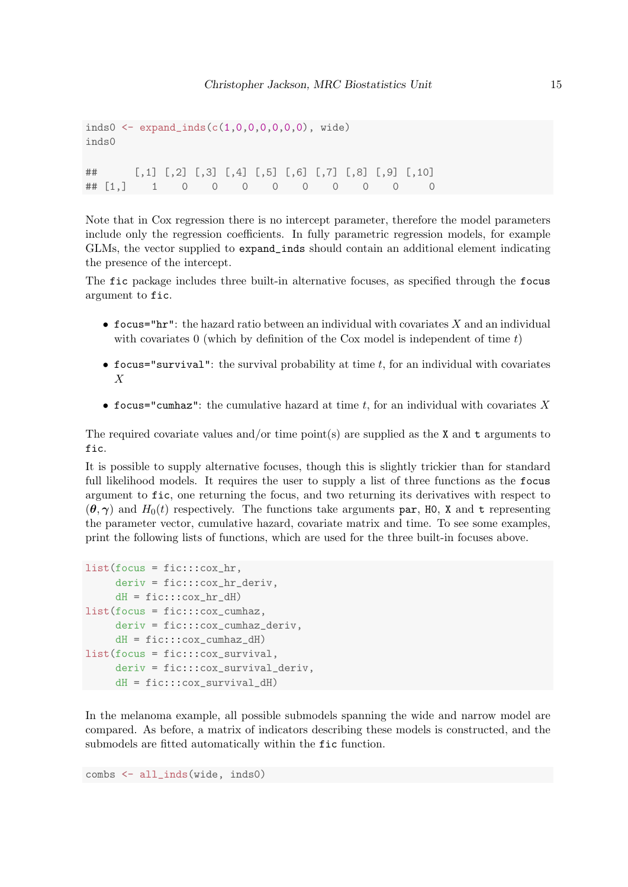```
inds0 <- expand\_inds(c(1,0,0,0,0,0,0), wide)
inds0
## [,1] [,2] [,3] [,4] [,5] [,6] [,7] [,8] [,9] [,10]
## [1,] 1 0 0 0 0 0 0 0 0 0
```
Note that in Cox regression there is no intercept parameter, therefore the model parameters include only the regression coefficients. In fully parametric regression models, for example GLMs, the vector supplied to expand\_inds should contain an additional element indicating the presence of the intercept.

The fic package includes three built-in alternative focuses, as specified through the focus argument to fic.

- focus="hr": the hazard ratio between an individual with covariates  $X$  and an individual with covariates 0 (which by definition of the Cox model is independent of time  $t$ )
- focus="survival": the survival probability at time  $t$ , for an individual with covariates X
- focus="cumhaz": the cumulative hazard at time t, for an individual with covariates X

The required covariate values and/or time point(s) are supplied as the X and t arguments to fic.

It is possible to supply alternative focuses, though this is slightly trickier than for standard full likelihood models. It requires the user to supply a list of three functions as the focus argument to fic, one returning the focus, and two returning its derivatives with respect to  $(\theta, \gamma)$  and  $H_0(t)$  respectively. The functions take arguments par, H0, X and t representing the parameter vector, cumulative hazard, covariate matrix and time. To see some examples, print the following lists of functions, which are used for the three built-in focuses above.

```
list(focus = fic:::cox_hr,deriv = fic:::cox_hr_deriv,
     dH = fic:::cox_hr_dH)list(focus = fic:::cox_cumhaz,
     deriv = fic:::cox_cumhaz_deriv,
     dH = fic:::cox_cumhaz_dH)
list(focus = fic:::cox_survival,
     deriv = fic:::cox_survival_deriv,
     dH = fic:::cox_survival_dH)
```
In the melanoma example, all possible submodels spanning the wide and narrow model are compared. As before, a matrix of indicators describing these models is constructed, and the submodels are fitted automatically within the fic function.

combs <- all\_inds(wide, inds0)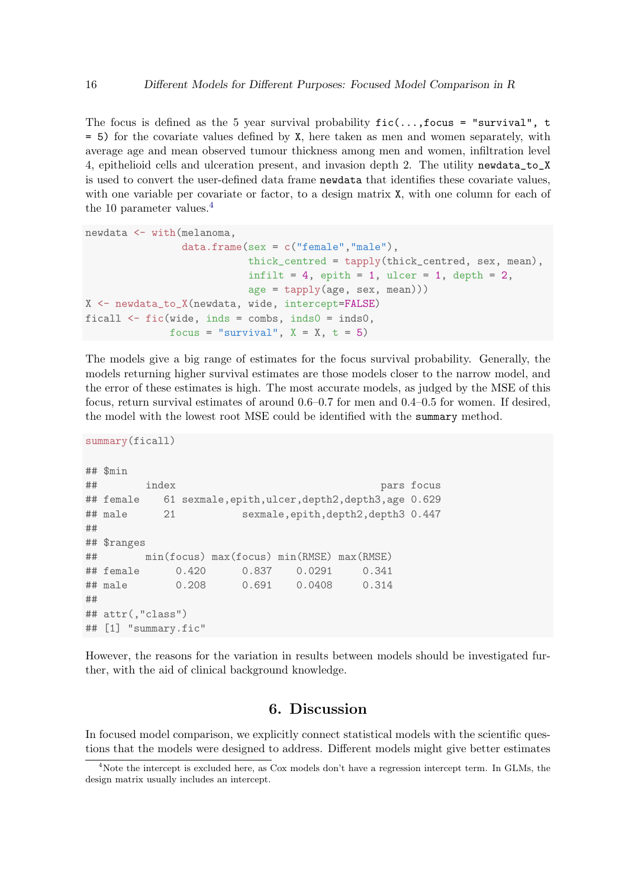The focus is defined as the 5 year survival probability  $\text{fic}(\ldots,\text{focus} = "survival", t$ = 5) for the covariate values defined by X, here taken as men and women separately, with average age and mean observed tumour thickness among men and women, infiltration level 4, epithelioid cells and ulceration present, and invasion depth 2. The utility newdata\_to\_X is used to convert the user-defined data frame newdata that identifies these covariate values, with one variable per covariate or factor, to a design matrix  $X$ , with one column for each of the 10 parameter values.<sup>[4](#page-15-0)</sup>

```
newdata <- with(melanoma,
                data.frame(sex = c("female","male"),
                           thick_centred = tapply(thick_centred, sex, mean),
                           infilt = 4, epith = 1, ulcer = 1, depth = 2,
                           age = tapply(age, sex, mean)))
X <- newdata_to_X(newdata, wide, intercept=FALSE)
ficall \le fic(wide, inds = combs, inds0 = inds0,
              focus = "survival", X = X, t = 5)
```
The models give a big range of estimates for the focus survival probability. Generally, the models returning higher survival estimates are those models closer to the narrow model, and the error of these estimates is high. The most accurate models, as judged by the MSE of this focus, return survival estimates of around 0.6–0.7 for men and 0.4–0.5 for women. If desired, the model with the lowest root MSE could be identified with the summary method.

```
summary(ficall)
## $min
## index pars focus
## female 61 sexmale,epith,ulcer,depth2,depth3,age 0.629
## male 21 sexmale,epith,depth2,depth3 0.447
##
## $ranges
## min(focus) max(focus) min(RMSE) max(RMSE)
## female 0.420 0.837 0.0291 0.341
## male 0.208 0.691 0.0408 0.314
##
## attr(,"class")
## [1] "summary.fic"
```
However, the reasons for the variation in results between models should be investigated further, with the aid of clinical background knowledge.

## 6. Discussion

In focused model comparison, we explicitly connect statistical models with the scientific questions that the models were designed to address. Different models might give better estimates

<span id="page-15-0"></span><sup>&</sup>lt;sup>4</sup>Note the intercept is excluded here, as Cox models don't have a regression intercept term. In GLMs, the design matrix usually includes an intercept.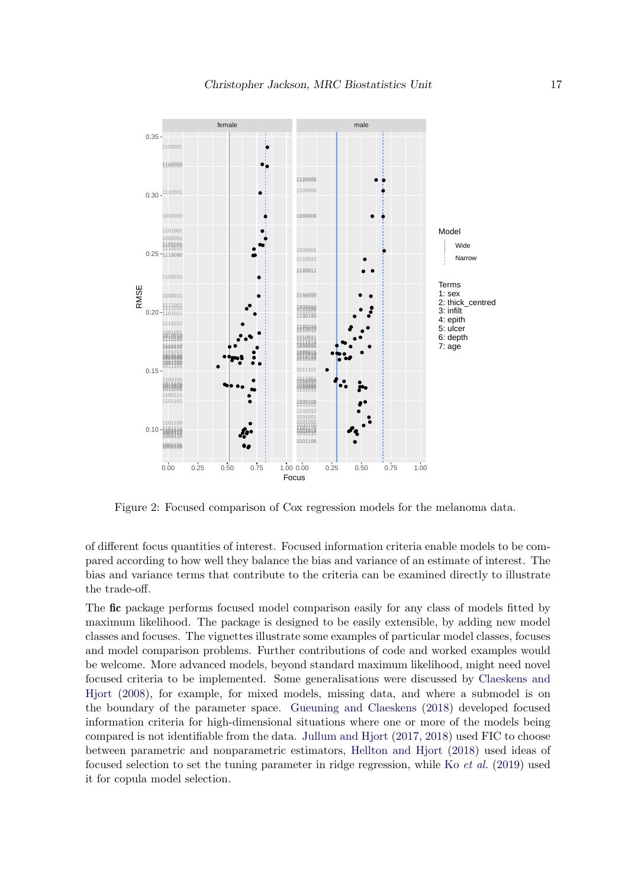

Figure 2: Focused comparison of Cox regression models for the melanoma data.

of different focus quantities of interest. Focused information criteria enable models to be compared according to how well they balance the bias and variance of an estimate of interest. The bias and variance terms that contribute to the criteria can be examined directly to illustrate the trade-off.

The fic package performs focused model comparison easily for any class of models fitted by maximum likelihood. The package is designed to be easily extensible, by adding new model classes and focuses. The vignettes illustrate some examples of particular model classes, focuses and model comparison problems. Further contributions of code and worked examples would be welcome. More advanced models, beyond standard maximum likelihood, might need novel focused criteria to be implemented. Some generalisations were discussed by [Claeskens and](#page-18-1) [Hjort](#page-18-1) [\(2008\)](#page-18-1), for example, for mixed models, missing data, and where a submodel is on the boundary of the parameter space. [Gueuning and Claeskens](#page-18-10) [\(2018\)](#page-18-10) developed focused information criteria for high-dimensional situations where one or more of the models being compared is not identifiable from the data. [Jullum and Hjort](#page-18-11) [\(2017,](#page-18-11) [2018\)](#page-18-12) used FIC to choose between parametric and nonparametric estimators, [Hellton and Hjort](#page-18-13) [\(2018\)](#page-18-13) used ideas of focused selection to set the tuning parameter in ridge regression, while Ko [et al.](#page-19-4) [\(2019\)](#page-19-4) used it for copula model selection.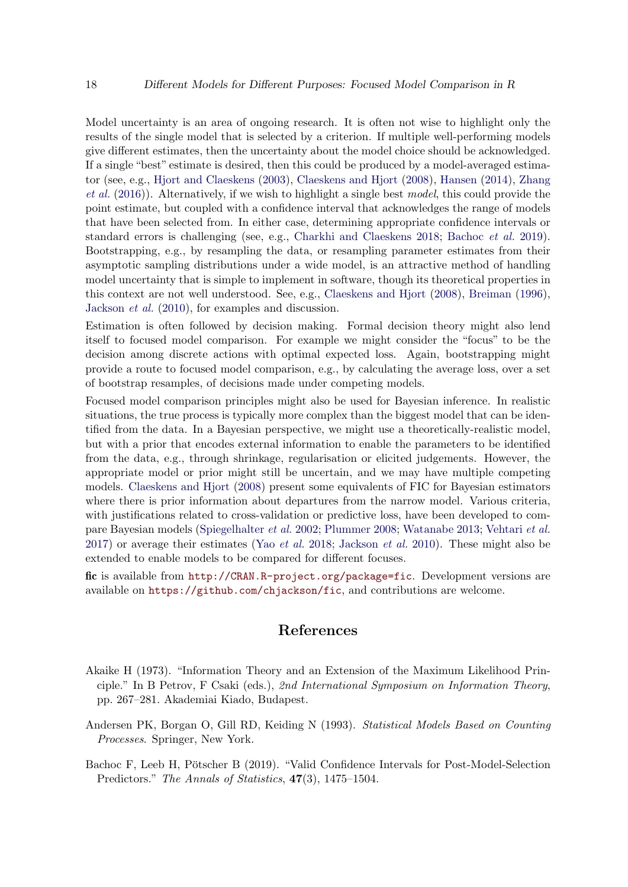Model uncertainty is an area of ongoing research. It is often not wise to highlight only the results of the single model that is selected by a criterion. If multiple well-performing models give different estimates, then the uncertainty about the model choice should be acknowledged. If a single "best" estimate is desired, then this could be produced by a model-averaged estimator (see, e.g., [Hjort and Claeskens](#page-18-5) [\(2003\)](#page-18-5), [Claeskens and Hjort](#page-18-1) [\(2008\)](#page-18-1), [Hansen](#page-18-14) [\(2014\)](#page-18-14), [Zhang](#page-19-5) *[et al.](#page-19-5)* [\(2016\)](#page-19-5)). Alternatively, if we wish to highlight a single best model, this could provide the point estimate, but coupled with a confidence interval that acknowledges the range of models that have been selected from. In either case, determining appropriate confidence intervals or standard errors is challenging (see, e.g., [Charkhi and Claeskens](#page-18-15) [2018;](#page-18-15) [Bachoc](#page-17-2) et al. [2019\)](#page-17-2). Bootstrapping, e.g., by resampling the data, or resampling parameter estimates from their asymptotic sampling distributions under a wide model, is an attractive method of handling model uncertainty that is simple to implement in software, though its theoretical properties in this context are not well understood. See, e.g., [Claeskens and Hjort](#page-18-1) [\(2008\)](#page-18-1), [Breiman](#page-18-16) [\(1996\)](#page-18-16), [Jackson](#page-18-17) et al. [\(2010\)](#page-18-17), for examples and discussion.

Estimation is often followed by decision making. Formal decision theory might also lend itself to focused model comparison. For example we might consider the "focus" to be the decision among discrete actions with optimal expected loss. Again, bootstrapping might provide a route to focused model comparison, e.g., by calculating the average loss, over a set of bootstrap resamples, of decisions made under competing models.

Focused model comparison principles might also be used for Bayesian inference. In realistic situations, the true process is typically more complex than the biggest model that can be identified from the data. In a Bayesian perspective, we might use a theoretically-realistic model, but with a prior that encodes external information to enable the parameters to be identified from the data, e.g., through shrinkage, regularisation or elicited judgements. However, the appropriate model or prior might still be uncertain, and we may have multiple competing models. [Claeskens and Hjort](#page-18-1) [\(2008\)](#page-18-1) present some equivalents of FIC for Bayesian estimators where there is prior information about departures from the narrow model. Various criteria, with justifications related to cross-validation or predictive loss, have been developed to compare Bayesian models [\(Spiegelhalter](#page-19-6) et al. [2002;](#page-19-6) [Plummer](#page-19-7) [2008;](#page-19-7) [Watanabe](#page-19-8) [2013;](#page-19-8) [Vehtari](#page-19-9) et al. [2017\)](#page-19-9) or average their estimates (Yao *[et al.](#page-19-10)* [2018;](#page-19-10) [Jackson](#page-18-17) *et al.* [2010\)](#page-18-17). These might also be extended to enable models to be compared for different focuses.

fic is available from <http://CRAN.R-project.org/package=fic>. Development versions are available on <https://github.com/chjackson/fic>, and contributions are welcome.

## References

- <span id="page-17-0"></span>Akaike H (1973). "Information Theory and an Extension of the Maximum Likelihood Principle." In B Petrov, F Csaki (eds.), 2nd International Symposium on Information Theory, pp. 267–281. Akademiai Kiado, Budapest.
- <span id="page-17-1"></span>Andersen PK, Borgan O, Gill RD, Keiding N (1993). Statistical Models Based on Counting Processes. Springer, New York.
- <span id="page-17-2"></span>Bachoc F, Leeb H, Pötscher B (2019). "Valid Confidence Intervals for Post-Model-Selection Predictors." The Annals of Statistics,  $47(3)$ , 1475–1504.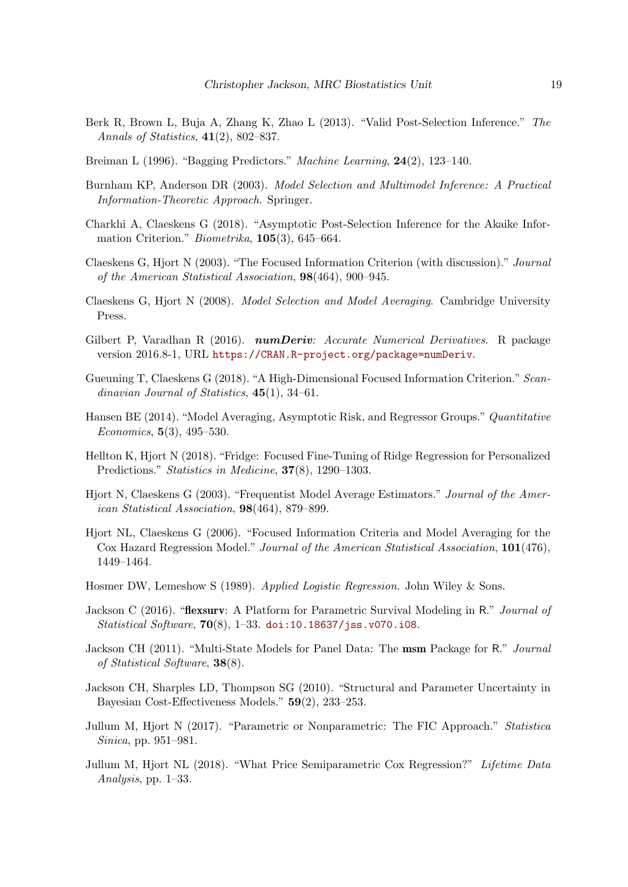- <span id="page-18-6"></span>Berk R, Brown L, Buja A, Zhang K, Zhao L (2013). "Valid Post-Selection Inference." The Annals of Statistics,  $41(2)$ , 802–837.
- <span id="page-18-16"></span>Breiman L (1996). "Bagging Predictors." Machine Learning, 24(2), 123–140.
- <span id="page-18-0"></span>Burnham KP, Anderson DR (2003). Model Selection and Multimodel Inference: A Practical Information-Theoretic Approach. Springer.
- <span id="page-18-15"></span>Charkhi A, Claeskens G (2018). "Asymptotic Post-Selection Inference for the Akaike Information Criterion." Biometrika, 105(3), 645–664.
- <span id="page-18-2"></span>Claeskens G, Hjort N (2003). "The Focused Information Criterion (with discussion)." Journal of the American Statistical Association, 98(464), 900–945.
- <span id="page-18-1"></span>Claeskens G, Hjort N (2008). Model Selection and Model Averaging. Cambridge University Press.
- <span id="page-18-3"></span>Gilbert P, Varadhan R (2016). numDeriv: Accurate Numerical Derivatives. R package version 2016.8-1, URL <https://CRAN.R-project.org/package=numDeriv>.
- <span id="page-18-10"></span>Gueuning T, Claeskens G (2018). "A High-Dimensional Focused Information Criterion." Scandinavian Journal of Statistics,  $45(1)$ ,  $34-61$ .
- <span id="page-18-14"></span>Hansen BE (2014). "Model Averaging, Asymptotic Risk, and Regressor Groups." Quantitative Economics, 5(3), 495–530.
- <span id="page-18-13"></span>Hellton K, Hjort N (2018). "Fridge: Focused Fine-Tuning of Ridge Regression for Personalized Predictions." Statistics in Medicine, **37**(8), 1290–1303.
- <span id="page-18-5"></span>Hjort N, Claeskens G (2003). "Frequentist Model Average Estimators." Journal of the American Statistical Association, 98(464), 879–899.
- <span id="page-18-9"></span>Hjort NL, Claeskens G (2006). "Focused Information Criteria and Model Averaging for the Cox Hazard Regression Model." Journal of the American Statistical Association, 101(476), 1449–1464.
- <span id="page-18-4"></span>Hosmer DW, Lemeshow S (1989). Applied Logistic Regression. John Wiley & Sons.
- <span id="page-18-7"></span>Jackson C (2016). "**flexsurv**: A Platform for Parametric Survival Modeling in R." *Journal of Statistical Software*,  $70(8)$ , 1-33. [doi:10.18637/jss.v070.i08](http://dx.doi.org/10.18637/jss.v070.i08).
- <span id="page-18-8"></span>Jackson CH (2011). "Multi-State Models for Panel Data: The msm Package for R." Journal of Statistical Software, 38(8).
- <span id="page-18-17"></span>Jackson CH, Sharples LD, Thompson SG (2010). "Structural and Parameter Uncertainty in Bayesian Cost-Effectiveness Models." 59(2), 233–253.
- <span id="page-18-11"></span>Jullum M, Hjort N (2017). "Parametric or Nonparametric: The FIC Approach." Statistica Sinica, pp. 951–981.
- <span id="page-18-12"></span>Jullum M, Hjort NL (2018). "What Price Semiparametric Cox Regression?" Lifetime Data Analysis, pp. 1–33.